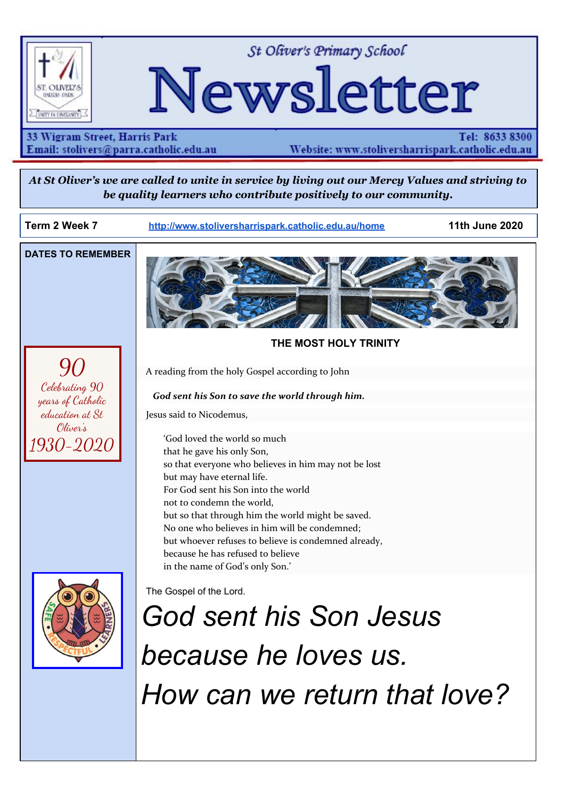

St Oliver's Primary School

# Newsletter

33 Wigram Street, Harris Park Email: stolivers@parra.catholic.edu.au

Tel: 8633 8300 Website: www.stoliversharrispark.catholic.edu.au

At St Oliver's we are called to unite in service by living out our Mercy Values and striving to *be quality learners who contribute positively to our community.*

**Term 2 Week 7 [http://www.stoliversharrispark.catholic.edu.au/home](http://www.stoliversharrispark.catholic.edu.au/) 11th June 2020**

**DATES TO REMEMBER**

90

Celebrating 90 years of Catholic education at St Oliver's 1930-2020



### **THE MOST HOLY TRINITY**

A reading from the holy Gospel according to John

#### *God sent his Son to save the world through him.*

Jesus said to Nicodemus,

'God loved the world so much that he gave his only Son, so that everyone who believes in him may not be lost but may have eternal life. For God sent his Son into the world not to condemn the world, but so that through him the world might be saved. No one who believes in him will be condemned; but whoever refuses to believe is condemned already, because he has refused to believe in the name of God's only Son.'



The Gospel of the Lord.

*God sent his Son Jesus because he loves us. How can we return that love?*